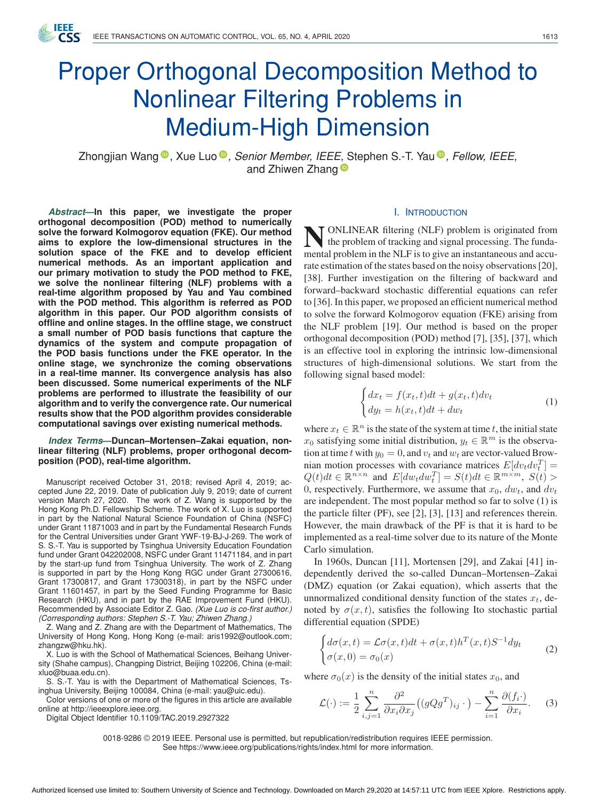IFFF

# Proper Orthogonal Decomposition Method to Nonlinear Filtering Problems in Medium-High Dimension

Zhongjian Wang <sup>®</sup>[,](https://orcid.org/0000-0001-7634-7981) Xue Luo <sup>®</sup>, *[S](https://orcid.org/0000-0002-3123-8885)enior Member, IEEE*, Stephen S.-T. Yau <sup>®</sup>, *Fellow, IEEE*, and Zhiwen Zhang<sup>®</sup>

*Abstract***—In this paper, we investigate the proper orthogonal decomposition (POD) method to numerically solve the forward Kolmogorov equation (FKE). Our method aims to explore the low-dimensional structures in the solution space of the FKE and to develop efficient numerical methods. As an important application and our primary motivation to study the POD method to FKE, we solve the nonlinear filtering (NLF) problems with a real-time algorithm proposed by Yau and Yau combined with the POD method. This algorithm is referred as POD algorithm in this paper. Our POD algorithm consists of offline and online stages. In the offline stage, we construct a small number of POD basis functions that capture the dynamics of the system and compute propagation of the POD basis functions under the FKE operator. In the online stage, we synchronize the coming observations in a real-time manner. Its convergence analysis has also been discussed. Some numerical experiments of the NLF problems are performed to illustrate the feasibility of our algorithm and to verify the convergence rate. Our numerical results show that the POD algorithm provides considerable computational savings over existing numerical methods.**

*Index Terms***—Duncan–Mortensen–Zakai equation, nonlinear filtering (NLF) problems, proper orthogonal decomposition (POD), real-time algorithm.**

Manuscript received October 31, 2018; revised April 4, 2019; accepted June 22, 2019. Date of publication July 9, 2019; date of current version March 27, 2020. The work of Z. Wang is supported by the Hong Kong Ph.D. Fellowship Scheme. The work of X. Luo is supported in part by the National Natural Science Foundation of China (NSFC) under Grant 11871003 and in part by the Fundamental Research Funds for the Central Universities under Grant YWF-19-BJ-J-269. The work of S. S.-T. Yau is supported by Tsinghua University Education Foundation fund under Grant 042202008, NSFC under Grant 11471184, and in part by the start-up fund from Tsinghua University. The work of Z. Zhang is supported in part by the Hong Kong RGC under Grant 27300616, Grant 17300817, and Grant 17300318), in part by the NSFC under Grant 11601457, in part by the Seed Funding Programme for Basic Research (HKU), and in part by the RAE Improvement Fund (HKU). Recommended by Associate Editor Z. Gao. *(Xue Luo is co-first author.) (Corresponding authors: Stephen S.-T. Yau; Zhiwen Zhang.)*

Z. Wang and Z. Zhang are with the Department of Mathematics, The University of Hong Kong, Hong Kong (e-mail: [aris1992@outlook.com;](mailto:aris1992@outlook.com) [zhangzw@hku.hk\)](mailto:zhangzw@hku.hk).

X. Luo is with the School of Mathematical Sciences, Beihang University (Shahe campus), Changping District, Beijing 102206, China (e-mail: [xluo@buaa.edu.cn\)](mailto:xluo@buaa.edu.cn).

S. S.-T. Yau is with the Department of Mathematical Sciences, Tsinghua University, Beijing 100084, China (e-mail: [yau@uic.edu\)](mailto:yau@uic.edu).

Color versions of one or more of the figures in this article are available online at [http://ieeexplore.ieee.org.](http://ieeexplore.ieee.org)

Digital Object Identifier 10.1109/TAC.2019.2927322

#### I. INTRODUCTION

**T** ONLINEAR filtering (NLF) problem is originated from the problem of tracking and signal processing. The fundamental problem in the NLF is to give an instantaneous and accurate estimation of the states based on the noisy observations [20], [38]. Further investigation on the filtering of backward and forward–backward stochastic differential equations can refer to [36]. In this paper, we proposed an efficient numerical method to solve the forward Kolmogorov equation (FKE) arising from the NLF problem [19]. Our method is based on the proper orthogonal decomposition (POD) method [7], [35], [37], which is an effective tool in exploring the intrinsic low-dimensional structures of high-dimensional solutions. We start from the following signal based model:

$$
\begin{cases} dx_t = f(x_t, t)dt + g(x_t, t)dv_t \\ dy_t = h(x_t, t)dt + dw_t \end{cases}
$$
 (1)

where  $x_t \in \mathbb{R}^n$  is the state of the system at time t, the initial state  $x_0$  satisfying some initial distribution,  $y_t \in \mathbb{R}^m$  is the observation at time t with  $y_0 = 0$ , and  $v_t$  and  $w_t$  are vector-valued Brownian motion processes with covariance matrices  $E[dv_t dv_t^T] =$  $Q(t)dt \in \mathbb{R}^{n \times n}$  and  $E[dw_t dw_t^T] = S(t)dt \in \mathbb{R}^{m \times m}$ ,  $S(t) >$ 0, respectively. Furthermore, we assume that  $x_0$ ,  $dw_t$ , and  $dv_t$ are independent. The most popular method so far to solve (1) is the particle filter (PF), see [2], [3], [13] and references therein. However, the main drawback of the PF is that it is hard to be implemented as a real-time solver due to its nature of the Monte Carlo simulation.

In 1960s, Duncan [11], Mortensen [29], and Zakai [41] independently derived the so-called Duncan–Mortensen–Zakai (DMZ) equation (or Zakai equation), which asserts that the unnormalized conditional density function of the states  $x_t$ , denoted by  $\sigma(x, t)$ , satisfies the following Ito stochastic partial differential equation (SPDE)

$$
\begin{cases} d\sigma(x,t) = \mathcal{L}\sigma(x,t)dt + \sigma(x,t)h^T(x,t)S^{-1}dy_t \\ \sigma(x,0) = \sigma_0(x) \end{cases}
$$
 (2)

where  $\sigma_0(x)$  is the density of the initial states  $x_0$ , and

$$
\mathcal{L}(\cdot) := \frac{1}{2} \sum_{i,j=1}^{n} \frac{\partial^2}{\partial x_i \partial x_j} \left( (gQg^T)_{ij} \cdot \right) - \sum_{i=1}^{n} \frac{\partial (f_i \cdot)}{\partial x_i}.
$$
 (3)

0018-9286 © 2019 IEEE. Personal use is permitted, but republication/redistribution requires IEEE permission. See https://www.ieee.org/publications/rights/index.html for more information.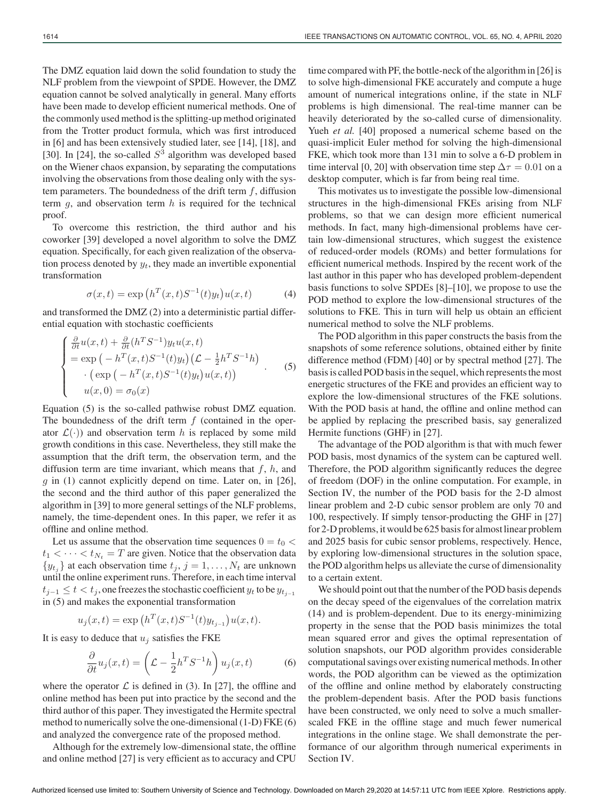The DMZ equation laid down the solid foundation to study the NLF problem from the viewpoint of SPDE. However, the DMZ equation cannot be solved analytically in general. Many efforts have been made to develop efficient numerical methods. One of the commonly used method is the splitting-up method originated from the Trotter product formula, which was first introduced in [6] and has been extensively studied later, see [14], [18], and [30]. In [24], the so-called  $S<sup>3</sup>$  algorithm was developed based on the Wiener chaos expansion, by separating the computations involving the observations from those dealing only with the system parameters. The boundedness of the drift term  $f$ , diffusion term  $g$ , and observation term  $h$  is required for the technical proof.

To overcome this restriction, the third author and his coworker [39] developed a novel algorithm to solve the DMZ equation. Specifically, for each given realization of the observation process denoted by  $y_t$ , they made an invertible exponential transformation

$$
\sigma(x,t) = \exp\left(h^T(x,t)S^{-1}(t)y_t\right)u(x,t) \tag{4}
$$

and transformed the DMZ (2) into a deterministic partial differential equation with stochastic coefficients

$$
\begin{cases}\n\frac{\partial}{\partial t}u(x,t) + \frac{\partial}{\partial t}(h^TS^{-1})y_t u(x,t) \\
= \exp\left(-h^T(x,t)S^{-1}(t)y_t\right)\left(\mathcal{L} - \frac{1}{2}h^TS^{-1}h\right) \\
\cdot \left(\exp\left(-h^T(x,t)S^{-1}(t)y_t\right)u(x,t)\right) \\
u(x,0) = \sigma_0(x)\n\end{cases} (5)
$$

Equation (5) is the so-called pathwise robust DMZ equation. The boundedness of the drift term  $f$  (contained in the operator  $\mathcal{L}(\cdot)$  and observation term h is replaced by some mild growth conditions in this case. Nevertheless, they still make the assumption that the drift term, the observation term, and the diffusion term are time invariant, which means that  $f$ ,  $h$ , and  $g$  in (1) cannot explicitly depend on time. Later on, in [26], the second and the third author of this paper generalized the algorithm in [39] to more general settings of the NLF problems, namely, the time-dependent ones. In this paper, we refer it as offline and online method.

Let us assume that the observation time sequences  $0 = t_0 <$  $t_1 < \cdots < t_{N_t} = T$  are given. Notice that the observation data  $\{y_{t_i}\}\$  at each observation time  $t_j, j = 1, \ldots, N_t$  are unknown until the online experiment runs. Therefore, in each time interval  $t_{i-1} \leq t < t_i$ , one freezes the stochastic coefficient  $y_t$  to be  $y_{t_{i-1}}$ in (5) and makes the exponential transformation

$$
u_j(x,t) = \exp\left(h^T(x,t)S^{-1}(t)y_{t_{j-1}}\right)u(x,t).
$$

It is easy to deduce that  $u_j$  satisfies the FKE

$$
\frac{\partial}{\partial t}u_j(x,t) = \left(\mathcal{L} - \frac{1}{2}h^T S^{-1}h\right)u_j(x,t) \tag{6}
$$

where the operator  $\mathcal L$  is defined in (3). In [27], the offline and online method has been put into practice by the second and the third author of this paper. They investigated the Hermite spectral method to numerically solve the one-dimensional (1-D) FKE (6) and analyzed the convergence rate of the proposed method.

Although for the extremely low-dimensional state, the offline and online method [27] is very efficient as to accuracy and CPU

time compared with PF, the bottle-neck of the algorithm in [26] is to solve high-dimensional FKE accurately and compute a huge amount of numerical integrations online, if the state in NLF problems is high dimensional. The real-time manner can be heavily deteriorated by the so-called curse of dimensionality. Yueh *et al.* [40] proposed a numerical scheme based on the quasi-implicit Euler method for solving the high-dimensional FKE, which took more than 131 min to solve a 6-D problem in time interval [0, 20] with observation time step  $\Delta \tau = 0.01$  on a desktop computer, which is far from being real time.

This motivates us to investigate the possible low-dimensional structures in the high-dimensional FKEs arising from NLF problems, so that we can design more efficient numerical methods. In fact, many high-dimensional problems have certain low-dimensional structures, which suggest the existence of reduced-order models (ROMs) and better formulations for efficient numerical methods. Inspired by the recent work of the last author in this paper who has developed problem-dependent basis functions to solve SPDEs [8]–[10], we propose to use the POD method to explore the low-dimensional structures of the solutions to FKE. This in turn will help us obtain an efficient numerical method to solve the NLF problems.

The POD algorithm in this paper constructs the basis from the snapshots of some reference solutions, obtained either by finite difference method (FDM) [40] or by spectral method [27]. The basis is called POD basis in the sequel, which represents the most energetic structures of the FKE and provides an efficient way to explore the low-dimensional structures of the FKE solutions. With the POD basis at hand, the offline and online method can be applied by replacing the prescribed basis, say generalized Hermite functions (GHF) in [27].

The advantage of the POD algorithm is that with much fewer POD basis, most dynamics of the system can be captured well. Therefore, the POD algorithm significantly reduces the degree of freedom (DOF) in the online computation. For example, in Section IV, the number of the POD basis for the 2-D almost linear problem and 2-D cubic sensor problem are only 70 and 100, respectively. If simply tensor-producting the GHF in [27] for 2-D problems, it would be 625 basis for almost linear problem and 2025 basis for cubic sensor problems, respectively. Hence, by exploring low-dimensional structures in the solution space, the POD algorithm helps us alleviate the curse of dimensionality to a certain extent.

We should point out that the number of the POD basis depends on the decay speed of the eigenvalues of the correlation matrix (14) and is problem-dependent. Due to its energy-minimizing property in the sense that the POD basis minimizes the total mean squared error and gives the optimal representation of solution snapshots, our POD algorithm provides considerable computational savings over existing numerical methods. In other words, the POD algorithm can be viewed as the optimization of the offline and online method by elaborately constructing the problem-dependent basis. After the POD basis functions have been constructed, we only need to solve a much smallerscaled FKE in the offline stage and much fewer numerical integrations in the online stage. We shall demonstrate the performance of our algorithm through numerical experiments in Section IV.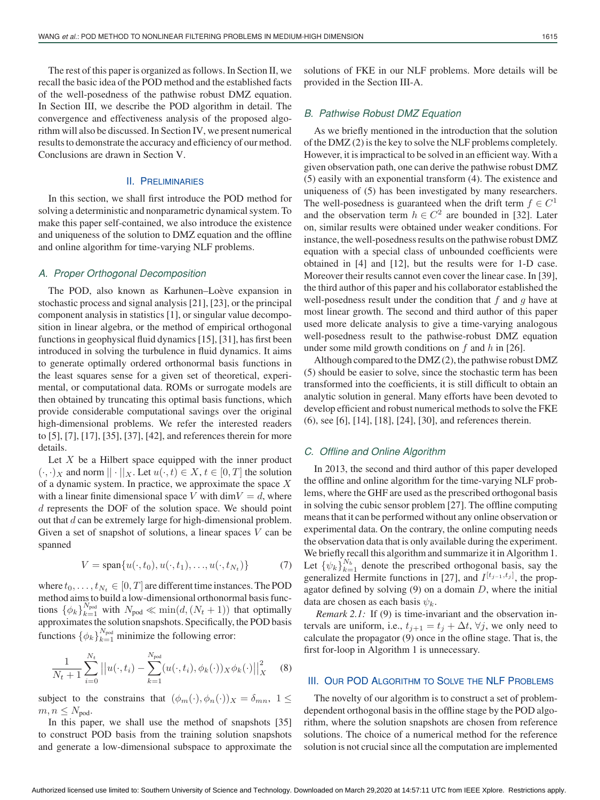The rest of this paper is organized as follows. In Section II, we recall the basic idea of the POD method and the established facts of the well-posedness of the pathwise robust DMZ equation. In Section III, we describe the POD algorithm in detail. The convergence and effectiveness analysis of the proposed algorithm will also be discussed. In Section IV, we present numerical results to demonstrate the accuracy and efficiency of our method. Conclusions are drawn in Section V.

#### II. PRELIMINARIES

In this section, we shall first introduce the POD method for solving a deterministic and nonparametric dynamical system. To make this paper self-contained, we also introduce the existence and uniqueness of the solution to DMZ equation and the offline and online algorithm for time-varying NLF problems.

#### *A. Proper Orthogonal Decomposition*

The POD, also known as Karhunen–Loève expansion in stochastic process and signal analysis [21], [23], or the principal component analysis in statistics [1], or singular value decomposition in linear algebra, or the method of empirical orthogonal functions in geophysical fluid dynamics [15], [31], has first been introduced in solving the turbulence in fluid dynamics. It aims to generate optimally ordered orthonormal basis functions in the least squares sense for a given set of theoretical, experimental, or computational data. ROMs or surrogate models are then obtained by truncating this optimal basis functions, which provide considerable computational savings over the original high-dimensional problems. We refer the interested readers to [5], [7], [17], [35], [37], [42], and references therein for more details.

Let  $X$  be a Hilbert space equipped with the inner product  $(\cdot, \cdot)_X$  and norm  $|| \cdot ||_X$ . Let  $u(\cdot, t) \in X$ ,  $t \in [0, T]$  the solution of a dynamic system. In practice, we approximate the space  $X$ with a linear finite dimensional space V with  $\dim V = d$ , where d represents the DOF of the solution space. We should point out that d can be extremely large for high-dimensional problem. Given a set of snapshot of solutions, a linear spaces  $V$  can be spanned

$$
V = \text{span}\{u(\cdot, t_0), u(\cdot, t_1), \dots, u(\cdot, t_{N_t})\}
$$
(7)

where  $t_0, \ldots, t_{N_t} \in [0, T]$  are different time instances. The POD method aims to build a low-dimensional orthonormal basis functions  $\{\phi_k\}_{k=1}^{N_{\text{pod}}}$  with  $N_{\text{pod}} \ll \min(d, (N_t + 1))$  that optimally approximates the solution snapshots. Specifically, the POD basis functions  $\{\phi_k\}_{k=1}^{N_{\text{pod}}}$  minimize the following error:

$$
\frac{1}{N_t+1} \sum_{i=0}^{N_t} ||u(\cdot, t_i) - \sum_{k=1}^{N_{\text{pod}}} (u(\cdot, t_i), \phi_k(\cdot))_X \phi_k(\cdot) ||_X^2 \quad (8)
$$

subject to the constrains that  $(\phi_m(\cdot), \phi_n(\cdot))_X = \delta_{mn}$ ,  $1 \leq$  $m, n \leq N_{\text{pod}}.$ 

In this paper, we shall use the method of snapshots [35] to construct POD basis from the training solution snapshots and generate a low-dimensional subspace to approximate the solutions of FKE in our NLF problems. More details will be provided in the Section III-A.

## *B. Pathwise Robust DMZ Equation*

As we briefly mentioned in the introduction that the solution of the DMZ (2) is the key to solve the NLF problems completely. However, it is impractical to be solved in an efficient way. With a given observation path, one can derive the pathwise robust DMZ (5) easily with an exponential transform (4). The existence and uniqueness of (5) has been investigated by many researchers. The well-posedness is guaranteed when the drift term  $f \in C<sup>1</sup>$ and the observation term  $h \in C^2$  are bounded in [32]. Later on, similar results were obtained under weaker conditions. For instance, the well-posedness results on the pathwise robust DMZ equation with a special class of unbounded coefficients were obtained in [4] and [12], but the results were for 1-D case. Moreover their results cannot even cover the linear case. In [39], the third author of this paper and his collaborator established the well-posedness result under the condition that  $f$  and  $g$  have at most linear growth. The second and third author of this paper used more delicate analysis to give a time-varying analogous well-posedness result to the pathwise-robust DMZ equation under some mild growth conditions on  $f$  and  $h$  in [26].

Although compared to the DMZ (2), the pathwise robust DMZ (5) should be easier to solve, since the stochastic term has been transformed into the coefficients, it is still difficult to obtain an analytic solution in general. Many efforts have been devoted to develop efficient and robust numerical methods to solve the FKE (6), see [6], [14], [18], [24], [30], and references therein.

## *C. Offline and Online Algorithm*

In 2013, the second and third author of this paper developed the offline and online algorithm for the time-varying NLF problems, where the GHF are used as the prescribed orthogonal basis in solving the cubic sensor problem [27]. The offline computing means that it can be performed without any online observation or experimental data. On the contrary, the online computing needs the observation data that is only available during the experiment. We briefly recall this algorithm and summarize it in Algorithm 1. Let  $\{\psi_k\}_{k=1}^{N_b}$  denote the prescribed orthogonal basis, say the generalized Hermite functions in [27], and  $I^{[t_{j-1},t_j]}$ , the propagator defined by solving  $(9)$  on a domain D, where the initial data are chosen as each basis  $\psi_k$ .

*Remark 2.1:* If (9) is time-invariant and the observation intervals are uniform, i.e.,  $t_{i+1} = t_i + \Delta t$ ,  $\forall j$ , we only need to calculate the propagator (9) once in the ofline stage. That is, the first for-loop in Algorithm 1 is unnecessary.

### III. OUR POD ALGORITHM TO SOLVE THE NLF PROBLEMS

The novelty of our algorithm is to construct a set of problemdependent orthogonal basis in the offline stage by the POD algorithm, where the solution snapshots are chosen from reference solutions. The choice of a numerical method for the reference solution is not crucial since all the computation are implemented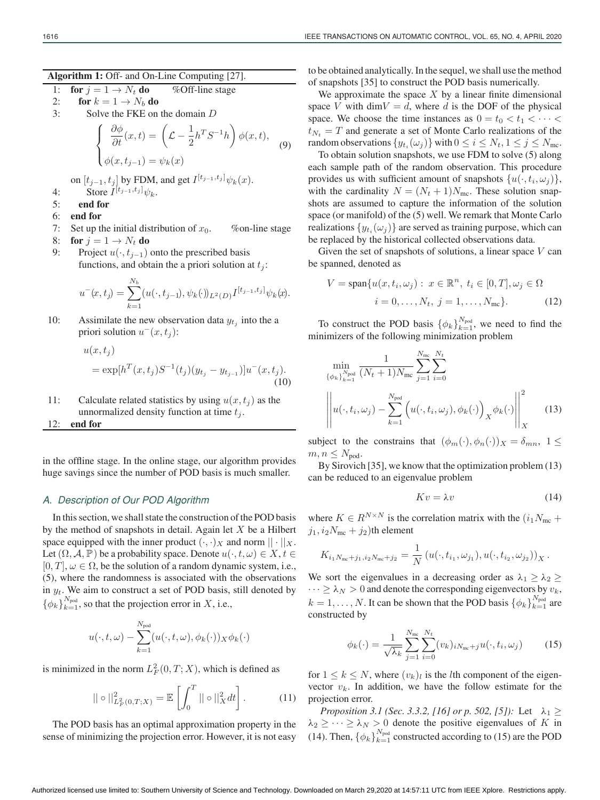**Algorithm 1:** Off- and On-Line Computing [27].

1: **for** 
$$
j = 1 \rightarrow N_t
$$
 **do** %Off-line stage

2: **for**  $k = 1 \rightarrow N_b$  **do** 

3: Solve the FKE on the domain D

$$
\begin{cases} \frac{\partial \phi}{\partial t}(x,t) = \left(\mathcal{L} - \frac{1}{2}h^T S^{-1} h\right) \phi(x,t), \\ \phi(x,t_{j-1}) = \psi_k(x) \end{cases} \tag{9}
$$

on  $[t_{j-1}, t_j]$  by FDM, and get  $I^{[t_{j-1}, t_j]} \psi_k(x)$ .

- 4: Store  $I^{[t_{j-1},t_j]} \psi_k$ .
- 5: **end for**
- 6: **end for**
- 7: Set up the initial distribution of  $x_0$ . %on-line stage
- 8: **for**  $j = 1 \rightarrow N_t$  **do**
- 9: Project  $u(\cdot, t_{j-1})$  onto the prescribed basis functions, and obtain the a priori solution at  $t_i$ :

$$
u^{-}(x,t_{j}) = \sum_{k=1}^{N_{b}} (u(\cdot,t_{j-1}),\psi_{k}(\cdot))_{L^{2}(D)} I^{[t_{j-1},t_{j}]}\psi_{k}(x).
$$

10: Assimilate the new observation data  $y_{t_j}$  into the a priori solution  $u^-(x, t_i)$ :

$$
u(x, t_j)
$$
  
=  $\exp[h^T(x, t_j)S^{-1}(t_j)(y_{t_j} - y_{t_{j-1}})]u^-(x, t_j).$   
(10)

11: Calculate related statistics by using  $u(x, t_i)$  as the unnormalized density function at time  $t_i$ .

12: **end for**

in the offline stage. In the online stage, our algorithm provides huge savings since the number of POD basis is much smaller.

## *A. Description of Our POD Algorithm*

In this section, we shall state the construction of the POD basis by the method of snapshots in detail. Again let  $X$  be a Hilbert space equipped with the inner product  $(\cdot, \cdot)_X$  and norm  $|| \cdot ||_X$ . Let  $(\Omega, \mathcal{A}, \mathbb{P})$  be a probability space. Denote  $u(\cdot, t, \omega) \in X, t \in$  $[0, T]$ ,  $\omega \in \Omega$ , be the solution of a random dynamic system, i.e., (5), where the randomness is associated with the observations in  $y_t$ . We aim to construct a set of POD basis, still denoted by  $\{\phi_k\}_{k=1}^{N_{\text{pod}}}$ , so that the projection error in X, i.e.,

$$
u(\cdot, t, \omega) - \sum_{k=1}^{N_{\text{pod}}} (u(\cdot, t, \omega), \phi_k(\cdot))_X \phi_k(\cdot)
$$

is minimized in the norm  $L^2_F(0,T;X)$ , which is defined as

$$
\|\circ\|_{L_F^2(0,T;X)}^2 = \mathbb{E}\left[\int_0^T \|\circ\|_X^2 dt\right].\tag{11}
$$

The POD basis has an optimal approximation property in the sense of minimizing the projection error. However, it is not easy

to be obtained analytically. In the sequel, we shall use the method of snapshots [35] to construct the POD basis numerically.

We approximate the space  $X$  by a linear finite dimensional space V with dim $V = d$ , where d is the DOF of the physical space. We choose the time instances as  $0 = t_0 < t_1 < \cdots <$  $t_{N_t} = T$  and generate a set of Monte Carlo realizations of the random observations  $\{y_{t_i}(\omega_j)\}\$  with  $0 \le i \le N_t, 1 \le j \le N_{\text{mc}}$ .

To obtain solution snapshots, we use FDM to solve (5) along each sample path of the random observation. This procedure provides us with sufficient amount of snapshots  $\{u(\cdot,t_i,\omega_j)\},\$ with the cardinality  $N = (N_t + 1)N_{\text{mc}}$ . These solution snapshots are assumed to capture the information of the solution space (or manifold) of the (5) well. We remark that Monte Carlo realizations  $\{y_{t_i}(\omega_i)\}\$ are served as training purpose, which can be replaced by the historical collected observations data.

Given the set of snapshots of solutions, a linear space  $V$  can be spanned, denoted as

$$
V = \text{span}\{u(x, t_i, \omega_j) : x \in \mathbb{R}^n, t_i \in [0, T], \omega_j \in \Omega
$$
  

$$
i = 0, \dots, N_t, j = 1, \dots, N_{\text{mc}}\}.
$$
 (12)

To construct the POD basis  $\{\phi_k\}_{k=1}^{N_{\text{pod}}}$ , we need to find the minimizers of the following minimization problem

$$
\min_{\{\phi_k\}_{k=1}^{N_{\text{pod}}}} \frac{1}{(N_t+1)N_{\text{mc}}} \sum_{j=1}^{N_{\text{mc}}} \sum_{i=0}^{N_t}
$$
\n
$$
\left\| u(\cdot, t_i, \omega_j) - \sum_{k=1}^{N_{\text{pod}}} \left( u(\cdot, t_i, \omega_j), \phi_k(\cdot) \right)_X \phi_k(\cdot) \right\|_X^2 \tag{13}
$$

subject to the constrains that  $(\phi_m(\cdot), \phi_n(\cdot))_X = \delta_{mn}, 1 \leq$  $m, n \leq N_{\text{pod}}$ .

By Sirovich [35], we know that the optimization problem (13) can be reduced to an eigenvalue problem

$$
Kv = \lambda v \tag{14}
$$

where  $K \in R^{N \times N}$  is the correlation matrix with the  $(i_1N_{\text{mc}} +$  $j_1, i_2N_{\text{mc}} + j_2$ )th element

$$
K_{i_1N_{\text{mc}}+j_1,i_2N_{\text{mc}}+j_2} = \frac{1}{N} \left( u(\cdot,t_{i_1},\omega_{j_1}),u(\cdot,t_{i_2},\omega_{j_2}) \right)_X.
$$

We sort the eigenvalues in a decreasing order as  $\lambda_1 \geq \lambda_2 \geq$  $\cdots \ge \lambda_N > 0$  and denote the corresponding eigenvectors by  $v_k$ ,  $k = 1, \ldots, N$ . It can be shown that the POD basis  $\{\phi_k\}_{k=1}^{N_{\text{pod}}}$  are constructed by

$$
\phi_k(\cdot) = \frac{1}{\sqrt{\lambda_k}} \sum_{j=1}^{N_{\text{mc}}} \sum_{i=0}^{N_t} (v_k)_{iN_{\text{mc}}+j} u(\cdot, t_i, \omega_j)
$$
(15)

for  $1 \leq k \leq N$ , where  $(v_k)_l$  is the *l*th component of the eigenvector  $v_k$ . In addition, we have the follow estimate for the projection error.

*Proposition 3.1 (Sec. 3.3.2, [16] or p. 502, [5]):* Let  $\lambda_1 \geq$  $\lambda_2 \geq \cdots \geq \lambda_N > 0$  denote the positive eigenvalues of K in (14). Then,  $\{\phi_k\}_{k=1}^{N_{\text{pod}}}$  constructed according to (15) are the POD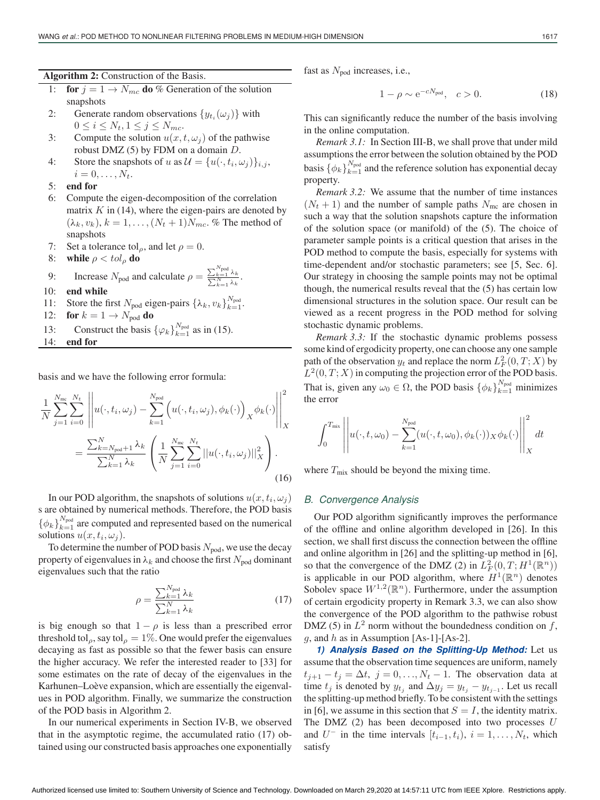- 1: **for**  $j = 1 \rightarrow N_{mc}$  **do** % Generation of the solution snapshots
- 2: Generate random observations  $\{y_{t_i}(\omega_j)\}\$  with  $0 \leq i \leq N_t, 1 \leq j \leq N_{mc}.$
- 3: Compute the solution  $u(x, t, \omega_i)$  of the pathwise robust DMZ  $(5)$  by FDM on a domain  $D$ .
- 4: Store the snapshots of u as  $\mathcal{U} = \{u(\cdot,t_i,\omega_i)\}_{i,j}$ ,  $i = 0, \ldots, N_t$ .
- 5: **end for**
- 6: Compute the eigen-decomposition of the correlation matrix  $K$  in (14), where the eigen-pairs are denoted by  $(\lambda_k, v_k)$ ,  $k = 1, \ldots, (N_t + 1)N_{mc}$ . % The method of snapshots
- 7: Set a tolerance tol<sub>ρ</sub>, and let  $\rho = 0$ .
- 8: **while**  $\rho < tol_\rho$  **do**
- 9: Increase  $N_{\text{pod}}$  and calculate  $\rho = \frac{\sum_{k=1}^{N_{\text{pod}}} \lambda_k}{\sum_{k=1}^{N} \lambda_k}$ .
- 10: **end while**
- 11: Store the first  $N_{\text{pod}}$  eigen-pairs  $\{\lambda_k, v_k\}_{k=1}^{N_{\text{pod}}}$ .
- 12: **for**  $k = 1 \rightarrow N_{\text{pod}}$  **do**
- 13: Construct the basis  $\{\varphi_k\}_{k=1}^{N_{\text{pod}}}$  as in (15).
- 14: **end for**

basis and we have the following error formula:

$$
\frac{1}{N} \sum_{j=1}^{N_{\text{mc}}} \sum_{i=0}^{N_t} \left\| u(\cdot, t_i, \omega_j) - \sum_{k=1}^{N_{\text{pod}}} \left( u(\cdot, t_i, \omega_j), \phi_k(\cdot) \right)_X \phi_k(\cdot) \right\|_X^2
$$
\n
$$
= \frac{\sum_{k=N_{\text{pod}}+1}^N \lambda_k}{\sum_{k=1}^N \lambda_k} \left( \frac{1}{N} \sum_{j=1}^{N_{\text{mc}}} \sum_{i=0}^{N_t} ||u(\cdot, t_i, \omega_j)||_X^2 \right). \tag{16}
$$

In our POD algorithm, the snapshots of solutions  $u(x, t_i, \omega_i)$ s are obtained by numerical methods. Therefore, the POD basis  $\{\phi_k\}_{k=1}^{N_{\text{pod}}}$  are computed and represented based on the numerical solutions  $u(x, t_i, \omega_i)$ .

To determine the number of POD basis  $N_{\text{pod}}$ , we use the decay property of eigenvalues in  $\lambda_k$  and choose the first  $N_{\text{pod}}$  dominant eigenvalues such that the ratio

$$
\rho = \frac{\sum_{k=1}^{N_{\text{pod}}} \lambda_k}{\sum_{k=1}^{N} \lambda_k} \tag{17}
$$

is big enough so that  $1 - \rho$  is less than a prescribed error threshold tol<sub>ρ</sub>, say tol<sub>ρ</sub> = 1%. One would prefer the eigenvalues decaying as fast as possible so that the fewer basis can ensure the higher accuracy. We refer the interested reader to [33] for some estimates on the rate of decay of the eigenvalues in the Karhunen–Loève expansion, which are essentially the eigenvalues in POD algorithm. Finally, we summarize the construction of the POD basis in Algorithm 2.

In our numerical experiments in Section IV-B, we observed that in the asymptotic regime, the accumulated ratio (17) obtained using our constructed basis approaches one exponentially

fast as  $N_{\text{pod}}$  increases, i.e.,

$$
1 - \rho \sim e^{-cN_{\text{pod}}}, \quad c > 0. \tag{18}
$$

This can significantly reduce the number of the basis involving in the online computation.

*Remark 3.1:* In Section III-B, we shall prove that under mild assumptions the error between the solution obtained by the POD basis  $\{\phi_k\}_{k=1}^{N_{\text{pod}}}$  and the reference solution has exponential decay property.

*Remark 3.2:* We assume that the number of time instances  $(N_t + 1)$  and the number of sample paths  $N_{\text{mc}}$  are chosen in such a way that the solution snapshots capture the information of the solution space (or manifold) of the (5). The choice of parameter sample points is a critical question that arises in the POD method to compute the basis, especially for systems with time-dependent and/or stochastic parameters; see [5, Sec. 6]. Our strategy in choosing the sample points may not be optimal though, the numerical results reveal that the (5) has certain low dimensional structures in the solution space. Our result can be viewed as a recent progress in the POD method for solving stochastic dynamic problems.

*Remark 3.3:* If the stochastic dynamic problems possess some kind of ergodicity property, one can choose any one sample path of the observation  $y_t$  and replace the norm  $L^2_F(0,T;X)$  by  $L^2(0, T; X)$  in computing the projection error of the POD basis. That is, given any  $\omega_0 \in \Omega$ , the POD basis  $\{\phi_k\}_{k=1}^{N_{\text{pod}}}$  minimizes the error

$$
\int_0^{T_{\text{mix}}} \left\| u(\cdot, t, \omega_0) - \sum_{k=1}^{N_{\text{pod}}} (u(\cdot, t, \omega_0), \phi_k(\cdot)) \chi \phi_k(\cdot) \right\|_X^2 dt
$$

where  $T_{\text{mix}}$  should be beyond the mixing time.

#### *B. Convergence Analysis*

Our POD algorithm significantly improves the performance of the offline and online algorithm developed in [26]. In this section, we shall first discuss the connection between the offline and online algorithm in [26] and the splitting-up method in [6], so that the convergence of the DMZ (2) in  $L_F^2(0,T;H^1(\mathbb{R}^n))$ is applicable in our POD algorithm, where  $H^1(\mathbb{R}^n)$  denotes Sobolev space  $W^{1,2}(\mathbb{R}^n)$ . Furthermore, under the assumption of certain ergodicity property in Remark 3.3, we can also show the convergence of the POD algorithm to the pathwise robust DMZ (5) in  $L^2$  norm without the boundedness condition on f,  $g$ , and  $h$  as in Assumption [As-1]-[As-2].

*1) Analysis Based on the Splitting-Up Method:* Let us assume that the observation time sequences are uniform, namely  $t_{i+1} - t_i = \Delta t$ ,  $j = 0, \ldots, N_t - 1$ . The observation data at time  $t_j$  is denoted by  $y_{t_j}$  and  $\Delta y_j = y_{t_j} - y_{t_{j-1}}$ . Let us recall the splitting-up method briefly. To be consistent with the settings in [6], we assume in this section that  $S = I$ , the identity matrix. The DMZ  $(2)$  has been decomposed into two processes  $U$ and  $U^-$  in the time intervals  $[t_{i-1}, t_i)$ ,  $i = 1, \ldots, N_t$ , which satisfy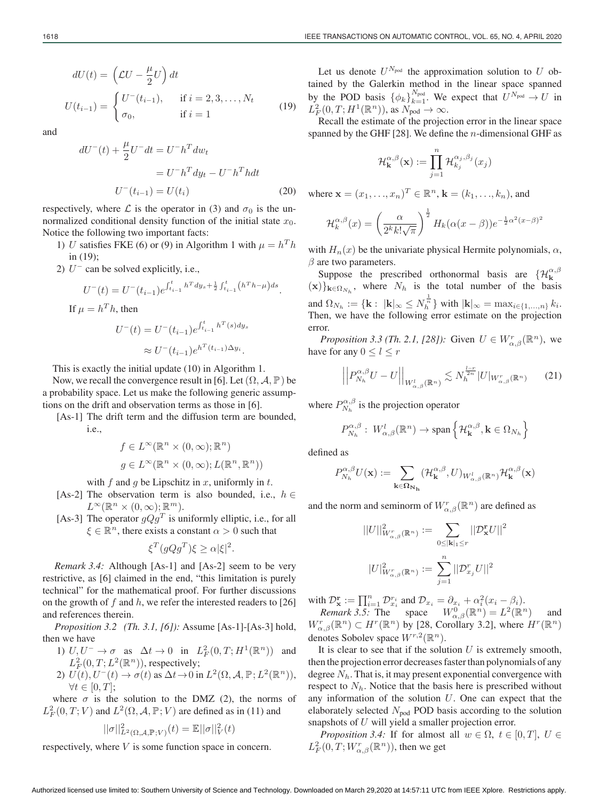$$
dU(t) = \left(\mathcal{L}U - \frac{\mu}{2}U\right)dt
$$
  

$$
U(t_{i-1}) = \begin{cases} U^-(t_{i-1}), & \text{if } i = 2, 3, \dots, N_t \\ \sigma_0, & \text{if } i = 1 \end{cases}
$$
 (19)

and

$$
dU^{-}(t) + \frac{\mu}{2}U^{-}dt = U^{-}h^{T}dw_{t}
$$

$$
= U^{-}h^{T}dy_{t} - U^{-}h^{T}hdt
$$

$$
U^{-}(t_{i-1}) = U(t_{i})
$$
(20)

respectively, where  $\mathcal L$  is the operator in (3) and  $\sigma_0$  is the unnormalized conditional density function of the initial state  $x_0$ . Notice the following two important facts:

- 1) U satisfies FKE (6) or (9) in Algorithm 1 with  $\mu = h^T h$ in (19);
- 2)  $U^-$  can be solved explicitly, i.e.,

$$
U^{-}(t) = U^{-}(t_{i-1})e^{\int_{t_{i-1}}^{t} h^{T}dy_{s} + \frac{1}{2}\int_{t_{i-1}}^{t} (h^{T}h - \mu)ds}.
$$
  
If  $\mu = h^{T}h$ , then  

$$
U^{-}(t) = U^{-}(t_{i-1})e^{\int_{t_{i-1}}^{t} h^{T}(s)dy_{s}}
$$

$$
\approx U^{-}(t_{i-1})e^{h^{T}(t_{i-1})\Delta y_{i}}.
$$

This is exactly the initial update (10) in Algorithm 1.

Now, we recall the convergence result in [6]. Let  $(\Omega, \mathcal{A}, \mathbb{P})$  be a probability space. Let us make the following generic assumptions on the drift and observation terms as those in [6].

[As-1] The drift term and the diffusion term are bounded, i.e.,

$$
f \in L^{\infty}(\mathbb{R}^n \times (0, \infty); \mathbb{R}^n)
$$

$$
g \in L^{\infty}(\mathbb{R}^n \times (0, \infty); L(\mathbb{R}^n, \mathbb{R}^n))
$$

with f and q be Lipschitz in x, uniformly in t.

- [As-2] The observation term is also bounded, i.e.,  $h \in$  $L^{\infty}(\mathbb{R}^n \times (0,\infty); \mathbb{R}^m).$
- [As-3] The operator  $qQg^T$  is uniformly elliptic, i.e., for all  $\xi \in \mathbb{R}^n$ , there exists a constant  $\alpha > 0$  such that

$$
\xi^T (gQg^T)\xi \ge \alpha |\xi|^2.
$$

*Remark 3.4:* Although [As-1] and [As-2] seem to be very restrictive, as [6] claimed in the end, "this limitation is purely technical" for the mathematical proof. For further discussions on the growth of f and h, we refer the interested readers to [26] and references therein.

*Proposition 3.2 (Th. 3.1, [6]):* Assume [As-1]-[As-3] hold, then we have

1) 
$$
U, U^- \to \sigma
$$
 as  $\Delta t \to 0$  in  $L_F^2(0, T; H^1(\mathbb{R}^n))$  and  
 $L_F^2(0, T; L^2(\mathbb{R}^n))$ , respectively;

2)  $U(t), U^{-}(t) \rightarrow \sigma(t)$  as  $\Delta t \rightarrow 0$  in  $L^{2}(\Omega, \mathcal{A}, \mathbb{P}; L^{2}(\mathbb{R}^{n})),$  $\forall t \in [0, T]$ ;

where  $\sigma$  is the solution to the DMZ (2), the norms of  $L_F^2(0,T;V)$  and  $L^2(\Omega, \mathcal{A}, \mathbb{P}; V)$  are defined as in (11) and

$$
||\sigma||_{L^2(\Omega,\mathcal{A},\mathbb{P};V)}^2(t) = \mathbb{E}||\sigma||_V^2(t)
$$

respectively, where V is some function space in concern.

Let us denote  $U^{N_{\text{pod}}}$  the approximation solution to U obtained by the Galerkin method in the linear space spanned by the POD basis  $\{\phi_k\}_{k=1}^{N_{\text{pod}}}$ . We expect that  $U^{N_{\text{pod}}} \to U$  in  $L_F^2(0,T;H^1(\mathbb{R}^n))$ , as  $N_{\text{pod}} \to \infty$ .

Recall the estimate of the projection error in the linear space spanned by the GHF [28]. We define the  $n$ -dimensional GHF as

$$
\mathcal{H}^{\alpha,\beta}_\mathbf{k}(\mathbf{x}) := \prod_{j=1}^n \mathcal{H}^{\alpha_j,\beta_j}_{k_j}(x_j)
$$

where  $\mathbf{x} = (x_1, ..., x_n)^T \in \mathbb{R}^n$ ,  $\mathbf{k} = (k_1, ..., k_n)$ , and

$$
\mathcal{H}_k^{\alpha,\beta}(x) = \left(\frac{\alpha}{2^k k! \sqrt{\pi}}\right)^{\frac{1}{2}} H_k(\alpha(x-\beta)) e^{-\frac{1}{2}\alpha^2(x-\beta)^2}
$$

with  $H_n(x)$  be the univariate physical Hermite polynomials,  $\alpha$ ,  $\beta$  are two parameters.

Suppose the prescribed orthonormal basis are  $\{H_{\mathbf{k}}^{\alpha,\beta}\}$  $(\mathbf{x})\}_{\mathbf{k}\in\Omega_N}$ , where  $N_h$  is the total number of the basis and  $\Omega_{N_h} := \{ \mathbf{k} : ||\mathbf{k}||_{\infty} \leq N_h^{\frac{1}{n}} \}$  with  $|\mathbf{k}|_{\infty} = \max_{i \in \{1, ..., n\}} k_i$ . Then, we have the following error estimate on the projection error.

*Proposition 3.3 (Th. 2.1, [28]):* Given  $U \in W^r_{\alpha,\beta}(\mathbb{R}^n)$ , we have for any  $0 \le l \le r$ 

$$
\left| \left| P_{N_h}^{\alpha,\beta} U - U \right| \right|_{W_{\alpha,\beta}^l(\mathbb{R}^n)} \lesssim N_h^{\frac{l-r}{2n}} |U|_{W_{\alpha,\beta}^r(\mathbb{R}^n)} \qquad (21)
$$

where  $P_{N_h}^{\alpha,\beta}$  is the projection operator

$$
P_{N_h}^{\alpha,\beta}: W_{\alpha,\beta}^l(\mathbb{R}^n)\to \text{span}\left\{\mathcal{H}_{\mathbf{k}}^{\alpha,\beta}, \mathbf{k}\in\Omega_{N_h}\right\}
$$

defined as

$$
P_{N_h}^{\alpha,\beta}U(\mathbf{x}):=\sum_{\mathbf{k}\in\mathbf{\Omega_{N_h}}}(\mathcal{H}^{\alpha,\beta}_\mathbf{k},U)_{W_{\alpha,\beta}^l(\mathbb{R}^n)}\mathcal{H}^{\alpha,\beta}_\mathbf{k}(\mathbf{x})
$$

and the norm and seminorm of  $W_{\alpha,\beta}^r(\mathbb{R}^n)$  are defined as

$$
||U||^2_{W^r_{\alpha,\beta}(\mathbb{R}^n)} := \sum_{0 \leq |\mathbf{k}|_1 \leq r} ||\mathcal{D}^{\mathbf{r}}_{\mathbf{x}} U||^2
$$
  

$$
||U||^2_{W^r_{\alpha,\beta}(\mathbb{R}^n)} := \sum_{j=1}^n ||\mathcal{D}^r_{x_j} U||^2
$$

with  $\mathcal{D}_{\mathbf{x}}^{\mathbf{r}} := \prod_{i=1}^{n} \mathcal{D}_{x_i}^{r_i}$  and  $\mathcal{D}_{x_i} = \partial_{x_i} + \alpha_i^2 (x_i - \beta_i)$ . *Remark 3.5:* The space  $W_{\alpha,\beta}^{0}(\mathbb{R}^{n}) = L^{2}(\mathbb{R}^{n})$  and

 $W_{\alpha,\beta}^r(\mathbb{R}^n) \subset H^r(\mathbb{R}^n)$  by [28, Corollary 3.2], where  $H^r(\mathbb{R}^n)$ denotes Sobolev space  $W^{r,2}(\mathbb{R}^n)$ .

It is clear to see that if the solution  $U$  is extremely smooth, then the projection error decreases faster than polynomials of any degree  $N_h$ . That is, it may present exponential convergence with respect to  $N<sub>h</sub>$ . Notice that the basis here is prescribed without any information of the solution  $U$ . One can expect that the elaborately selected  $N_{\text{pod}}$  POD basis according to the solution snapshots of U will yield a smaller projection error.

*Proposition 3.4:* If for almost all  $w \in \Omega$ ,  $t \in [0, T]$ ,  $U \in$  $L_F^2(0,T;W_{\alpha,\beta}^r(\mathbb{R}^n))$ , then we get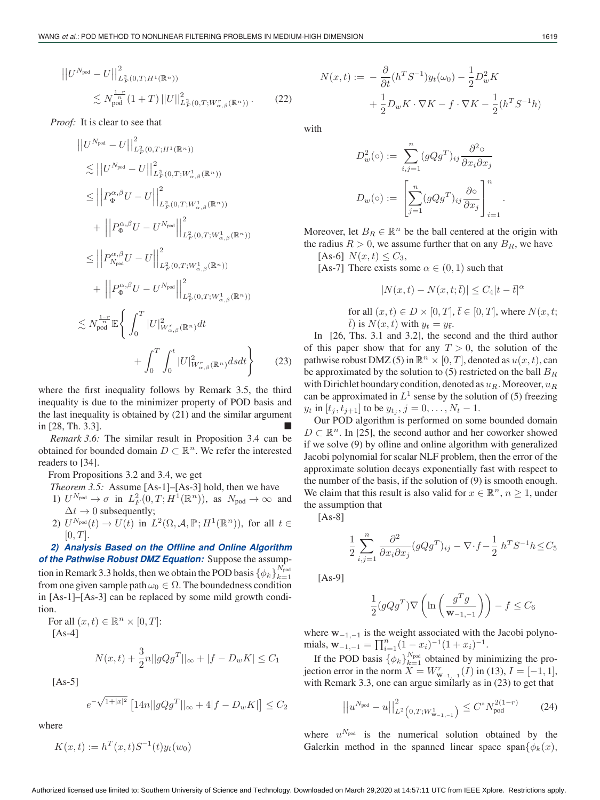$$
\|U^{N_{\text{pod}}} - U\|_{L_F^2(0,T;H^1(\mathbb{R}^n))}^2
$$
  
\$\lesssim N\_{\text{pod}}^{\frac{1-r}{n}}(1+T) ||U||\_{L\_F^2(0,T;W\_{\alpha,\beta}^r(\mathbb{R}^n))}^2\$. (22)\$

*Proof:* It is clear to see that

$$
\|U^{N_{\text{pod}}} - U\|_{L_F^2(0,T;H^1(\mathbb{R}^n))}^2
$$
\n
$$
\lesssim \|U^{N_{\text{pod}}} - U\|_{L_F^2(0,T;W_{\alpha,\beta}^1(\mathbb{R}^n))}^2
$$
\n
$$
\leq \|P_{\Phi}^{\alpha,\beta}U - U\|_{L_F^2(0,T;W_{\alpha,\beta}^1(\mathbb{R}^n))}^2
$$
\n
$$
+ \|P_{\Phi}^{\alpha,\beta}U - U^{N_{\text{pod}}}\|_{L_F^2(0,T;W_{\alpha,\beta}^1(\mathbb{R}^n))}^2
$$
\n
$$
\leq \|P_{N_{\text{pod}}}^{\alpha,\beta}U - U\|_{L_F^2(0,T;W_{\alpha,\beta}^1(\mathbb{R}^n))}^2
$$
\n
$$
+ \|P_{\Phi}^{\alpha,\beta}U - U^{N_{\text{pod}}}\|_{L_F^2(0,T;W_{\alpha,\beta}^1(\mathbb{R}^n))}^2
$$
\n
$$
\lesssim N_{\text{pod}}^{\frac{1-r}{n}} \mathbb{E} \left\{ \int_0^T |U|_{W_{\alpha,\beta}}^2(\mathbb{R}^n)dt \right\}
$$
\n
$$
+ \int_0^T \int_0^t |U|_{W_{\alpha,\beta}}^2(\mathbb{R}^n)dsdt \right\} \qquad (23)
$$

where the first inequality follows by Remark 3.5, the third inequality is due to the minimizer property of POD basis and the last inequality is obtained by (21) and the similar argument in [28, Th. 3.3].

*Remark 3.6:* The similar result in Proposition 3.4 can be obtained for bounded domain  $D \subset \mathbb{R}^n$ . We refer the interested readers to [34].

From Propositions 3.2 and 3.4, we get

*Theorem 3.5:* Assume [As-1]–[As-3] hold, then we have

- 1)  $U^{N_{\text{pod}}} \to \sigma$  in  $L^2_F(0,T;H^1(\mathbb{R}^n))$ , as  $N_{\text{pod}} \to \infty$  and  $\Delta t \rightarrow 0$  subsequently;
- 2)  $U^{N_{\text{pod}}}(t) \to U(t)$  in  $L^2(\Omega, \mathcal{A}, \mathbb{P}; H^1(\mathbb{R}^n))$ , for all  $t \in$  $[0, T]$ .

# *2) Analysis Based on the Offline and Online Algorithm of the Pathwise Robust DMZ Equation:* Suppose the assump-

tion in Remark 3.3 holds, then we obtain the POD basis  $\{\phi_k\}_{k=1}^{N_{\text{pod}}}$  $k=1$ from one given sample path  $\omega_0 \in \Omega$ . The boundedness condition in [As-1]–[As-3] can be replaced by some mild growth condition.

For all  $(x, t) \in \mathbb{R}^n \times [0, T]$ :  $[As-4]$ 

$$
N(x,t) + \frac{3}{2}n||gQg^{T}||_{\infty} + |f - D_w K| \le C_1
$$

[As-5]

$$
e^{-\sqrt{1+|x|^2}} \left[14n||gQg^T||_{\infty} + 4|f - D_w K|\right] \le C_2
$$

where

$$
K(x,t) := h^T(x,t)S^{-1}(t)y_t(w_0)
$$

$$
N(x,t) := -\frac{\partial}{\partial t} (h^T S^{-1}) y_t(\omega_0) - \frac{1}{2} D_w^2 K
$$
  
+ 
$$
\frac{1}{2} D_w K \cdot \nabla K - f \cdot \nabla K - \frac{1}{2} (h^T S^{-1} h)
$$

with

$$
D_w^2(\circ) := \sum_{i,j=1}^n (gQg^T)_{ij} \frac{\partial^2 \circ}{\partial x_i \partial x_j}
$$

$$
D_w(\circ) := \left[ \sum_{j=1}^n (gQg^T)_{ij} \frac{\partial \circ}{\partial x_j} \right]_{i=1}^n.
$$

Moreover, let  $B_R \in \mathbb{R}^n$  be the ball centered at the origin with the radius  $R > 0$ , we assume further that on any  $B_R$ , we have [As-6]  $N(x, t) \leq C_3$ ,

[As-7] There exists some  $\alpha \in (0,1)$  such that

$$
|N(x,t) - N(x,t;\bar{t})| \le C_4 |t - \bar{t}|^{\alpha}
$$

for all  $(x, t) \in D \times [0, T]$ ,  $\overline{t} \in [0, T]$ , where  $N(x, t;$  $\bar{t}$ ) is  $N(x,t)$  with  $y_t = y_{\bar{t}}$ .

In [26, Ths. 3.1 and 3.2], the second and the third author of this paper show that for any  $T > 0$ , the solution of the pathwise robust DMZ (5) in  $\mathbb{R}^n \times [0,T]$ , denoted as  $u(x, t)$ , can be approximated by the solution to  $(5)$  restricted on the ball  $B_R$ with Dirichlet boundary condition, denoted as  $u_R$ . Moreover,  $u_R$ can be approximated in  $L^1$  sense by the solution of (5) freezing  $y_t$  in  $[t_j, t_{j+1}]$  to be  $y_{t_j}, j = 0, \ldots, N_t - 1$ .

Our POD algorithm is performed on some bounded domain  $D \subset \mathbb{R}^n$ . In [25], the second author and her coworker showed if we solve (9) by ofline and online algorithm with generalized Jacobi polynomial for scalar NLF problem, then the error of the approximate solution decays exponentially fast with respect to the number of the basis, if the solution of (9) is smooth enough. We claim that this result is also valid for  $x \in \mathbb{R}^n$ ,  $n \geq 1$ , under the assumption that

[As-8]

$$
\frac{1}{2} \sum_{i,j=1}^n \frac{\partial^2}{\partial x_i \partial x_j} (gQg^T)_{ij} - \nabla \cdot f - \frac{1}{2} h^T S^{-1} h \leq C_5
$$

[As-9]

$$
\frac{1}{2}(gQg^T)\nabla\left(\ln\left(\frac{g^Tg}{\mathbf{w}_{-1,-1}}\right)\right) - f \leq C_6
$$

where **w**−1,−<sup>1</sup> is the weight associated with the Jacobi polynomials,  $\mathbf{w}_{-1,-1} = \prod_{i=1}^{n} (1-x_i)^{-1} (1+x_i)^{-1}.$ 

If the POD basis  $\{\phi_k\}_{k=1}^{N_{\text{pod}}}$  obtained by minimizing the projection error in the norm  $X = W_{\mathbf{w}_{-1,-1}}^r(I)$  in (13),  $I = [-1, 1]$ , with Remark 3.3, one can argue similarly as in (23) to get that

$$
\left| \left| u^{N_{\text{pod}}} - u \right| \right|_{L^2 \left( 0, T; W^1_{\mathbf{w}_{-1,-1}} \right)}^2 \le C^* N_{\text{pod}}^{2(1-r)} \tag{24}
$$

where  $u^{N_{\text{pod}}}$  is the numerical solution obtained by the Galerkin method in the spanned linear space span $\{\phi_k(x),\}$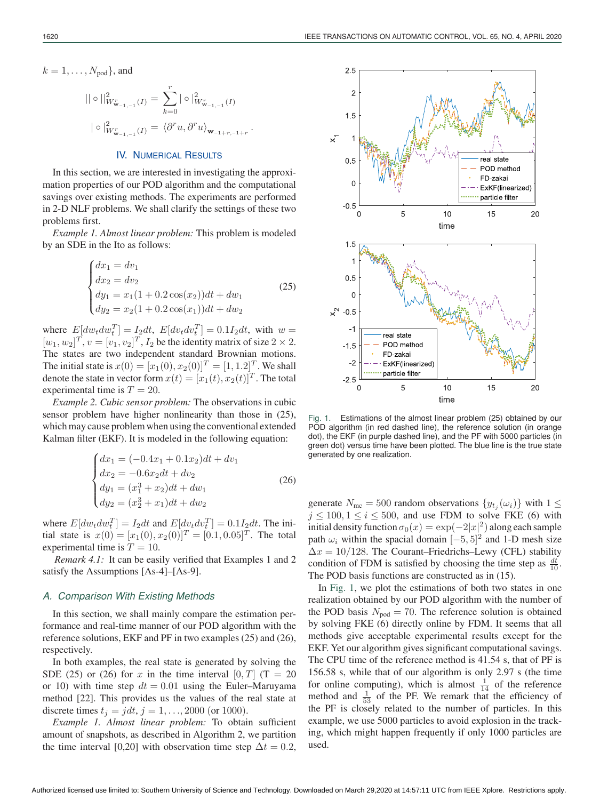$$
k=1,\ldots,N_{\text{pod}}\},\text{and}
$$

$$
\|\circ\|_{W^r_{\mathbf{w}_{-1,-1}}(I)}^2 = \sum_{k=0}^r |\circ|_{W^r_{\mathbf{w}_{-1,-1}}(I)}^2
$$
  

$$
|\circ|_{W^r_{\mathbf{w}_{-1,-1}}(I)}^2 = \langle \partial^r u, \partial^r u \rangle_{\mathbf{w}_{-1+r,-1+r}}.
$$

## IV. NUMERICAL RESULTS

In this section, we are interested in investigating the approximation properties of our POD algorithm and the computational savings over existing methods. The experiments are performed in 2-D NLF problems. We shall clarify the settings of these two problems first.

*Example 1. Almost linear problem:* This problem is modeled by an SDE in the Ito as follows:

$$
\begin{cases}\ndx_1 = dv_1 \\
dx_2 = dv_2 \\
dy_1 = x_1(1 + 0.2\cos(x_2))dt + dw_1 \\
dy_2 = x_2(1 + 0.2\cos(x_1))dt + dw_2\n\end{cases}
$$
\n(25)

where  $E[dw_t dw_t^T] = I_2 dt$ ,  $E[dv_t dv_t^T] = 0.1I_2 dt$ , with  $w =$  $[w_1, w_2]^T$ ,  $v = [v_1, v_2]^T$ ,  $I_2$  be the identity matrix of size  $2 \times 2$ . The states are two independent standard Brownian motions. The initial state is  $x(0) = [x_1(0), x_2(0)]^T = [1, 1.2]^T$ . We shall denote the state in vector form  $x(t)=[x_1(t), x_2(t)]^T$ . The total experimental time is  $T = 20$ .

*Example 2. Cubic sensor problem:* The observations in cubic sensor problem have higher nonlinearity than those in (25), which may cause problem when using the conventional extended Kalman filter (EKF). It is modeled in the following equation:

$$
\begin{cases}\ndx_1 = (-0.4x_1 + 0.1x_2)dt + dv_1 \\
dx_2 = -0.6x_2dt + dv_2 \\
dy_1 = (x_1^3 + x_2)dt + dw_1 \\
dy_2 = (x_2^3 + x_1)dt + dw_2\n\end{cases}
$$
\n(26)

where  $E[dw_t dw_t^T] = I_2 dt$  and  $E[dv_t dv_t^T] = 0.1I_2 dt$ . The initial state is  $x(0) = [x_1(0), x_2(0)]^T = [0.1, 0.05]^T$ . The total experimental time is  $T = 10$ .

*Remark 4.1:* It can be easily verified that Examples 1 and 2 satisfy the Assumptions [As-4]–[As-9].

#### *A. Comparison With Existing Methods*

In this section, we shall mainly compare the estimation performance and real-time manner of our POD algorithm with the reference solutions, EKF and PF in two examples (25) and (26), respectively.

In both examples, the real state is generated by solving the SDE (25) or (26) for x in the time interval  $[0, T]$  (T = 20 or 10) with time step  $dt = 0.01$  using the Euler–Maruyama method [22]. This provides us the values of the real state at discrete times  $t_j = jdt, j = 1, ..., 2000$  (or 1000).

*Example 1. Almost linear problem:* To obtain sufficient amount of snapshots, as described in Algorithm 2, we partition the time interval [0,20] with observation time step  $\Delta t = 0.2$ ,



Fig. 1. Estimations of the almost linear problem (25) obtained by our POD algorithm (in red dashed line), the reference solution (in orange dot), the EKF (in purple dashed line), and the PF with 5000 particles (in green dot) versus time have been plotted. The blue line is the true state generated by one realization.

generate  $N_{\text{mc}} = 500$  random observations  $\{y_{t_i}(\omega_i)\}\$  with  $1 \leq$  $j \le 100, 1 \le i \le 500$ , and use FDM to solve FKE (6) with initial density function  $\sigma_0(x) = \exp(-2|x|^2)$  along each sample path  $\omega_i$  within the spacial domain  $[-5, 5]^2$  and 1-D mesh size  $\Delta x = 10/128$ . The Courant–Friedrichs–Lewy (CFL) stability condition of FDM is satisfied by choosing the time step as  $\frac{dt}{10}$ . The POD basis functions are constructed as in (15).

In Fig. 1, we plot the estimations of both two states in one realization obtained by our POD algorithm with the number of the POD basis  $N_{\text{pod}} = 70$ . The reference solution is obtained by solving FKE (6) directly online by FDM. It seems that all methods give acceptable experimental results except for the EKF. Yet our algorithm gives significant computational savings. The CPU time of the reference method is 41.54 s, that of PF is 156.58 s, while that of our algorithm is only 2.97 s (the time for online computing), which is almost  $\frac{1}{14}$  of the reference method and  $\frac{1}{53}$  of the PF. We remark that the efficiency of the PF is closely related to the number of particles. In this example, we use 5000 particles to avoid explosion in the tracking, which might happen frequently if only 1000 particles are used.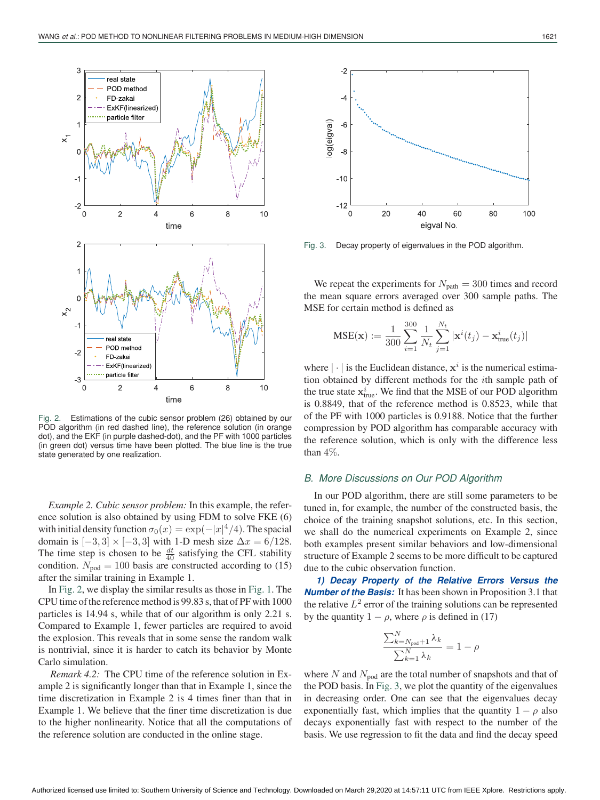

Fig. 2. Estimations of the cubic sensor problem (26) obtained by our POD algorithm (in red dashed line), the reference solution (in orange dot), and the EKF (in purple dashed-dot), and the PF with 1000 particles (in green dot) versus time have been plotted. The blue line is the true state generated by one realization.

*Example 2. Cubic sensor problem:* In this example, the reference solution is also obtained by using FDM to solve FKE (6) with initial density function  $\sigma_0(x) = \exp(-|x|^4/4)$ . The spacial domain is  $[-3, 3] \times [-3, 3]$  with 1-D mesh size  $\Delta x = 6/128$ . The time step is chosen to be  $\frac{dt}{40}$  satisfying the CFL stability condition.  $N_{\text{pod}} = 100$  basis are constructed according to (15) after the similar training in Example 1.

In Fig. 2, we display the similar results as those in Fig. 1. The CPU time of the reference method is 99.83 s, that of PF with 1000 particles is 14.94 s, while that of our algorithm is only 2.21 s. Compared to Example 1, fewer particles are required to avoid the explosion. This reveals that in some sense the random walk is nontrivial, since it is harder to catch its behavior by Monte Carlo simulation.

*Remark 4.2:* The CPU time of the reference solution in Example 2 is significantly longer than that in Example 1, since the time discretization in Example 2 is 4 times finer than that in Example 1. We believe that the finer time discretization is due to the higher nonlinearity. Notice that all the computations of the reference solution are conducted in the online stage.



Fig. 3. Decay property of eigenvalues in the POD algorithm.

We repeat the experiments for  $N_{\text{path}} = 300$  times and record the mean square errors averaged over 300 sample paths. The MSE for certain method is defined as

$$
MSE(\mathbf{x}) := \frac{1}{300} \sum_{i=1}^{300} \frac{1}{N_t} \sum_{j=1}^{N_t} |\mathbf{x}^{i}(t_j) - \mathbf{x}^{i}_{true}(t_j)|
$$

where  $|\cdot|$  is the Euclidean distance,  $x^i$  is the numerical estimation obtained by different methods for the ith sample path of the true state  $\mathbf{x}_{\text{true}}^i$ . We find that the MSE of our POD algorithm is 0.8849, that of the reference method is 0.8523, while that of the PF with 1000 particles is 0.9188. Notice that the further compression by POD algorithm has comparable accuracy with the reference solution, which is only with the difference less than 4%.

## *B. More Discussions on Our POD Algorithm*

In our POD algorithm, there are still some parameters to be tuned in, for example, the number of the constructed basis, the choice of the training snapshot solutions, etc. In this section, we shall do the numerical experiments on Example 2, since both examples present similar behaviors and low-dimensional structure of Example 2 seems to be more difficult to be captured due to the cubic observation function.

*1) Decay Property of the Relative Errors Versus the Number of the Basis:* It has been shown in Proposition 3.1 that the relative  $L^2$  error of the training solutions can be represented by the quantity  $1 - \rho$ , where  $\rho$  is defined in (17)

$$
\frac{\sum_{k=N_{\text{pod}}+1}^{N} \lambda_k}{\sum_{k=1}^{N} \lambda_k} = 1 - \rho
$$

where N and  $N_{\text{nod}}$  are the total number of snapshots and that of the POD basis. In Fig. 3, we plot the quantity of the eigenvalues in decreasing order. One can see that the eigenvalues decay exponentially fast, which implies that the quantity  $1 - \rho$  also decays exponentially fast with respect to the number of the basis. We use regression to fit the data and find the decay speed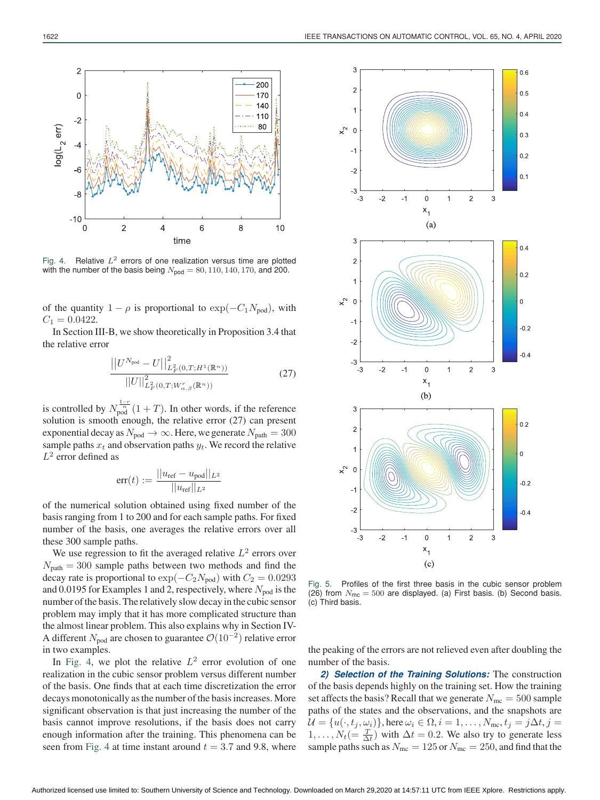

Fig. 4. Relative  $L^2$  errors of one realization versus time are plotted with the number of the basis being  $N_{\text{pod}} = 80, 110, 140, 170,$  and 200.

of the quantity  $1 - \rho$  is proportional to  $\exp(-C_1 N_{\text{pod}})$ , with  $C_1 = 0.0422.$ 

In Section III-B, we show theoretically in Proposition 3.4 that the relative error

$$
\frac{\left| \left| U^{N_{\text{pod}}} - U \right| \right|_{L^2_F(0,T;H^1(\mathbb{R}^n))}^2}{\left| \left| U \right| \right|_{L^2_F(0,T;W_{\alpha,\beta}^r(\mathbb{R}^n))}^2} \tag{27}
$$

is controlled by  $N_{\text{pod}}^{\frac{1-r}{n}}(1+T)$ . In other words, if the reference solution is smooth enough, the relative error (27) can present exponential decay as  $N_{\text{pod}} \to \infty$ . Here, we generate  $N_{\text{path}} = 300$ sample paths  $x_t$  and observation paths  $y_t$ . We record the relative  $L^2$  error defined as

$$
err(t) := \frac{||u_{ref} - u_{pod}||_{L^2}}{||u_{ref}||_{L^2}}
$$

of the numerical solution obtained using fixed number of the basis ranging from 1 to 200 and for each sample paths. For fixed number of the basis, one averages the relative errors over all these 300 sample paths.

We use regression to fit the averaged relative  $L^2$  errors over  $N_{\text{path}} = 300$  sample paths between two methods and find the decay rate is proportional to  $\exp(-C_2N_{\text{pod}})$  with  $C_2 = 0.0293$ and 0.0195 for Examples 1 and 2, respectively, where  $N_{\text{pod}}$  is the number of the basis. The relatively slow decay in the cubic sensor problem may imply that it has more complicated structure than the almost linear problem. This also explains why in Section IV-A different  $N_{\text{pod}}$  are chosen to guarantee  $\mathcal{O}(10^{-2})$  relative error in two examples.

In Fig. 4, we plot the relative  $L^2$  error evolution of one realization in the cubic sensor problem versus different number of the basis. One finds that at each time discretization the error decays monotonically as the number of the basis increases. More significant observation is that just increasing the number of the basis cannot improve resolutions, if the basis does not carry enough information after the training. This phenomena can be seen from Fig. 4 at time instant around  $t = 3.7$  and 9.8, where



Fig. 5. Profiles of the first three basis in the cubic sensor problem (26) from  $N_{\text{mc}} = 500$  are displayed. (a) First basis. (b) Second basis. (c) Third basis.

the peaking of the errors are not relieved even after doubling the number of the basis.

*2) Selection of the Training Solutions:* The construction of the basis depends highly on the training set. How the training set affects the basis? Recall that we generate  $N_{\text{mc}} = 500$  sample paths of the states and the observations, and the snapshots are  $\mathcal{U} = \{u(\cdot,t_j,\omega_i)\}\text{, here } \omega_i \in \Omega, i = 1,\ldots,N_{\text{mc}}, t_j = j\Delta t, j = j$  $1, \ldots, N_t (= \frac{T}{\Delta t})$  with  $\Delta t = 0.2$ . We also try to generate less sample paths such as  $N_{\text{mc}} = 125$  or  $N_{\text{mc}} = 250$ , and find that the

 $\overline{c}$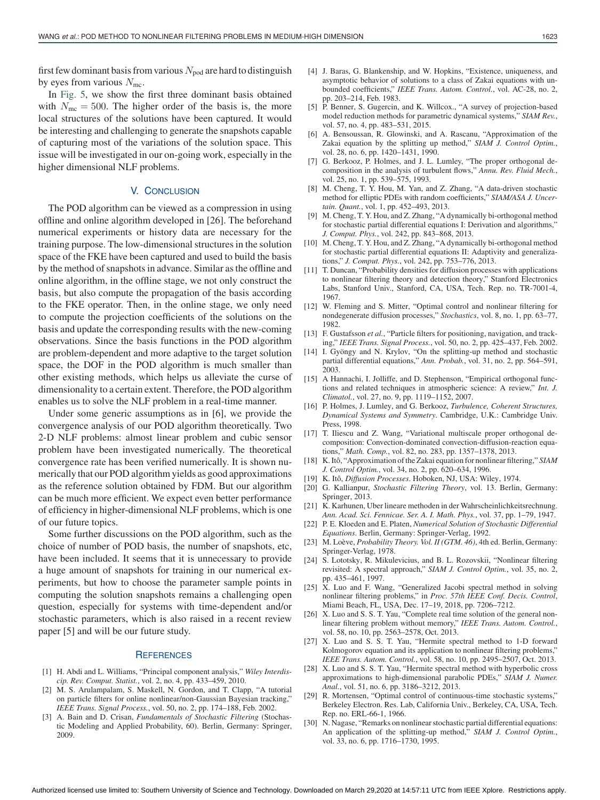first few dominant basis from various  $N_{\text{pod}}$  are hard to distinguish by eyes from various  $N_{\text{mc}}$ .

In Fig. 5, we show the first three dominant basis obtained with  $N_{\text{mc}} = 500$ . The higher order of the basis is, the more local structures of the solutions have been captured. It would be interesting and challenging to generate the snapshots capable of capturing most of the variations of the solution space. This issue will be investigated in our on-going work, especially in the higher dimensional NLF problems.

## V. CONCLUSION

The POD algorithm can be viewed as a compression in using offline and online algorithm developed in [26]. The beforehand numerical experiments or history data are necessary for the training purpose. The low-dimensional structures in the solution space of the FKE have been captured and used to build the basis by the method of snapshots in advance. Similar as the offline and online algorithm, in the offline stage, we not only construct the basis, but also compute the propagation of the basis according to the FKE operator. Then, in the online stage, we only need to compute the projection coefficients of the solutions on the basis and update the corresponding results with the new-coming observations. Since the basis functions in the POD algorithm are problem-dependent and more adaptive to the target solution space, the DOF in the POD algorithm is much smaller than other existing methods, which helps us alleviate the curse of dimensionality to a certain extent. Therefore, the POD algorithm enables us to solve the NLF problem in a real-time manner.

Under some generic assumptions as in [6], we provide the convergence analysis of our POD algorithm theoretically. Two 2-D NLF problems: almost linear problem and cubic sensor problem have been investigated numerically. The theoretical convergence rate has been verified numerically. It is shown numerically that our POD algorithm yields as good approximations as the reference solution obtained by FDM. But our algorithm can be much more efficient. We expect even better performance of efficiency in higher-dimensional NLF problems, which is one of our future topics.

Some further discussions on the POD algorithm, such as the choice of number of POD basis, the number of snapshots, etc, have been included. It seems that it is unnecessary to provide a huge amount of snapshots for training in our numerical experiments, but how to choose the parameter sample points in computing the solution snapshots remains a challenging open question, especially for systems with time-dependent and/or stochastic parameters, which is also raised in a recent review paper [5] and will be our future study.

#### **REFERENCES**

- [1] H. Abdi and L. Williams, "Principal component analysis," *Wiley Interdiscip. Rev. Comput. Statist.*, vol. 2, no. 4, pp. 433–459, 2010.
- [2] M. S. Arulampalam, S. Maskell, N. Gordon, and T. Clapp, "A tutorial on particle filters for online nonlinear/non-Gaussian Bayesian tracking," *IEEE Trans. Signal Process.*, vol. 50, no. 2, pp. 174–188, Feb. 2002.
- [3] A. Bain and D. Crisan, *Fundamentals of Stochastic Filtering* (Stochastic Modeling and Applied Probability, 60). Berlin, Germany: Springer, 2009.
- [4] J. Baras, G. Blankenship, and W. Hopkins, "Existence, uniqueness, and asymptotic behavior of solutions to a class of Zakai equations with unbounded coefficients," *IEEE Trans. Autom. Control.*, vol. AC-28, no. 2, pp. 203–214, Feb. 1983.
- [5] P. Benner, S. Gugercin, and K. Willcox., "A survey of projection-based model reduction methods for parametric dynamical systems," *SIAM Rev.*, vol. 57, no. 4, pp. 483–531, 2015.
- [6] A. Bensoussan, R. Glowinski, and A. Rascanu, "Approximation of the Zakai equation by the splitting up method," *SIAM J. Control Optim.*, vol. 28, no. 6, pp. 1420–1431, 1990.
- [7] G. Berkooz, P. Holmes, and J. L. Lumley, "The proper orthogonal decomposition in the analysis of turbulent flows," *Annu. Rev. Fluid Mech.*, vol. 25, no. 1, pp. 539–575, 1993.
- [8] M. Cheng, T. Y. Hou, M. Yan, and Z. Zhang, "A data-driven stochastic method for elliptic PDEs with random coefficients," *SIAM/ASA J. Uncertain. Quant.*, vol. 1, pp. 452–493, 2013.
- [9] M. Cheng, T. Y. Hou, and Z. Zhang, "A dynamically bi-orthogonal method for stochastic partial differential equations I: Derivation and algorithms," *J. Comput. Phys.*, vol. 242, pp. 843–868, 2013.
- [10] M. Cheng, T. Y. Hou, and Z. Zhang, "A dynamically bi-orthogonal method for stochastic partial differential equations II: Adaptivity and generalizations," *J. Comput. Phys.*, vol. 242, pp. 753–776, 2013.
- [11] T. Duncan, "Probability densities for diffusion processes with applications to nonlinear filtering theory and detection theory," Stanford Electronics Labs, Stanford Univ., Stanford, CA, USA, Tech. Rep. no. TR-7001-4, 1967.
- [12] W. Fleming and S. Mitter, "Optimal control and nonlinear filtering for nondegenerate diffusion processes," *Stochastics*, vol. 8, no. 1, pp. 63–77, 1982.
- [13] F. Gustafsson *et al.*, "Particle filters for positioning, navigation, and tracking," *IEEE Trans. Signal Process.*, vol. 50, no. 2, pp. 425–437, Feb. 2002.
- [14] I. Gyöngy and N. Krylov, "On the splitting-up method and stochastic partial differential equations," *Ann. Probab.*, vol. 31, no. 2, pp. 564–591, 2003.
- [15] A Hannachi, I. Jolliffe, and D. Stephenson, "Empirical orthogonal functions and related techniques in atmospheric science: A review," *Int. J. Climatol.*, vol. 27, no. 9, pp. 1119–1152, 2007.
- [16] P. Holmes, J. Lumley, and G. Berkooz, *Turbulence, Coherent Structures, Dynamical Systems and Symmetry*. Cambridge, U.K.: Cambridge Univ. Press, 1998.
- [17] T. Iliescu and Z. Wang, "Variational multiscale proper orthogonal decomposition: Convection-dominated convection-diffusion-reaction equations," *Math. Comp.*, vol. 82, no. 283, pp. 1357–1378, 2013.
- [18] K. Itô, "Approximation of the Zakai equation for nonlinear filtering," *SIAM J. Control Optim.*, vol. 34, no. 2, pp. 620–634, 1996.
- [19] K. Itô, *Diffusion Processes*. Hoboken, NJ, USA: Wiley, 1974.
- [20] G. Kallianpur, *Stochastic Filtering Theory*, vol. 13. Berlin, Germany: Springer, 2013.
- [21] K. Karhunen, Uber lineare methoden in der Wahrscheinlichkeitsrechnung. *Ann. Acad. Sci. Fennicae. Ser. A. I. Math. Phys.*, vol. 37, pp. 1–79, 1947.
- [22] P. E. Kloeden and E. Platen, *Numerical Solution of Stochastic Differential Equations*. Berlin, Germany: Springer-Verlag, 1992.
- [23] M. Loève, *Probability Theory. Vol. II (GTM. 46)*, 4th ed. Berlin, Germany: Springer-Verlag, 1978.
- [24] S. Lototsky, R. Mikulevicius, and B. L. Rozovskii, "Nonlinear filtering revisited: A spectral approach," *SIAM J. Control Optim.*, vol. 35, no. 2, pp. 435–461, 1997.
- [25] X. Luo and F. Wang, "Generalized Jacobi spectral method in solving nonlinear filtering problems," in *Proc. 57th IEEE Conf. Decis. Control*, Miami Beach, FL, USA, Dec. 17–19, 2018, pp. 7206–7212.
- [26] X. Luo and S. S. T. Yau, "Complete real time solution of the general nonlinear filtering problem without memory," *IEEE Trans. Autom. Control.*, vol. 58, no. 10, pp. 2563–2578, Oct. 2013.
- [27] X. Luo and S. S. T. Yau, "Hermite spectral method to 1-D forward Kolmogorov equation and its application to nonlinear filtering problems," *IEEE Trans. Autom. Control.*, vol. 58, no. 10, pp. 2495–2507, Oct. 2013.
- [28] X. Luo and S. S. T. Yau, "Hermite spectral method with hyperbolic cross approximations to high-dimensional parabolic PDEs," *SIAM J. Numer. Anal.*, vol. 51, no. 6, pp. 3186–3212, 2013.
- [29] R. Mortensen, "Optimal control of continuous-time stochastic systems," Berkeley Electron. Res. Lab, California Univ., Berkeley, CA, USA, Tech. Rep. no. ERL-66-1, 1966.
- [30] N. Nagase, "Remarks on nonlinear stochastic partial differential equations: An application of the splitting-up method," *SIAM J. Control Optim.*, vol. 33, no. 6, pp. 1716–1730, 1995.